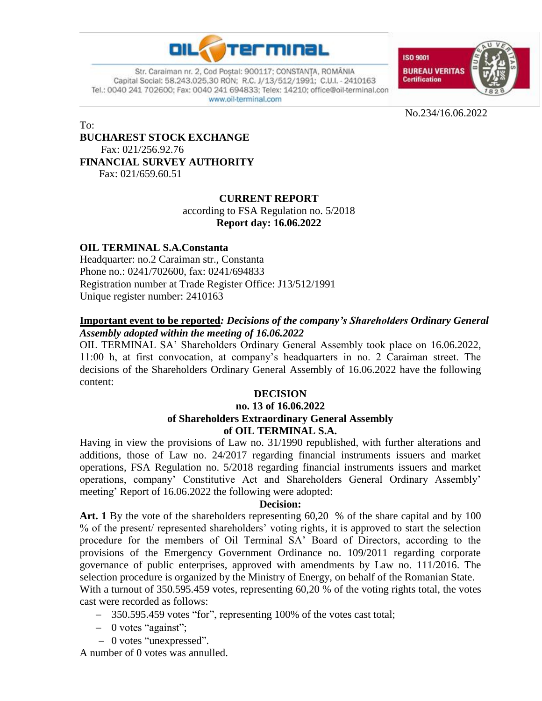

Str. Caraiman nr. 2, Cod Postal: 900117; CONSTANTA, ROMÂNIA Capital Social: 58.243.025,30 RON; R.C. J/13/512/1991; C.U.I. - 2410163 Tel.: 0040 241 702600; Fax: 0040 241 694833; Telex: 14210; office@oil-terminal.con www.oil-terminal.com



No.234/16.06.2022

To:

## **BUCHAREST STOCK EXCHANGE**  Fax: 021/256.92.76 **FINANCIAL SURVEY AUTHORITY**

Fax: 021/659.60.51

## **CURRENT REPORT**

according to FSA Regulation no. 5/2018 **Report day: 16.06.2022**

## **OIL TERMINAL S.A.Constanta**

Headquarter: no.2 Caraiman str., Constanta Phone no.: 0241/702600, fax: 0241/694833 Registration number at Trade Register Office: J13/512/1991 Unique register number: 2410163

## **Important event to be reported***: Decisions of the company's Shareholders Ordinary General Assembly adopted within the meeting of 16.06.2022*

OIL TERMINAL SA' Shareholders Ordinary General Assembly took place on 16.06.2022, 11:00 h, at first convocation, at company's headquarters in no. 2 Caraiman street. The decisions of the Shareholders Ordinary General Assembly of 16.06.2022 have the following content:

# **DECISION**

### **no. 13 of 16.06.2022 of Shareholders Extraordinary General Assembly of OIL TERMINAL S.A.**

Having in view the provisions of Law no. 31/1990 republished, with further alterations and additions, those of Law no. 24/2017 regarding financial instruments issuers and market operations, FSA Regulation no. 5/2018 regarding financial instruments issuers and market operations, company' Constitutive Act and Shareholders General Ordinary Assembly' meeting' Report of 16.06.2022 the following were adopted:

#### **Decision:**

Art. 1 By the vote of the shareholders representing 60,20 % of the share capital and by 100 % of the present/ represented shareholders' voting rights, it is approved to start the selection procedure for the members of Oil Terminal SA' Board of Directors, according to the provisions of the Emergency Government Ordinance no. 109/2011 regarding corporate governance of public enterprises, approved with amendments by Law no. 111/2016. The selection procedure is organized by the Ministry of Energy, on behalf of the Romanian State. With a turnout of 350.595.459 votes, representing 60,20 % of the voting rights total, the votes

cast were recorded as follows:

- 350.595.459 votes "for", representing 100% of the votes cast total;
- $-$  0 votes "against";
- 0 votes "unexpressed".

A number of 0 votes was annulled.